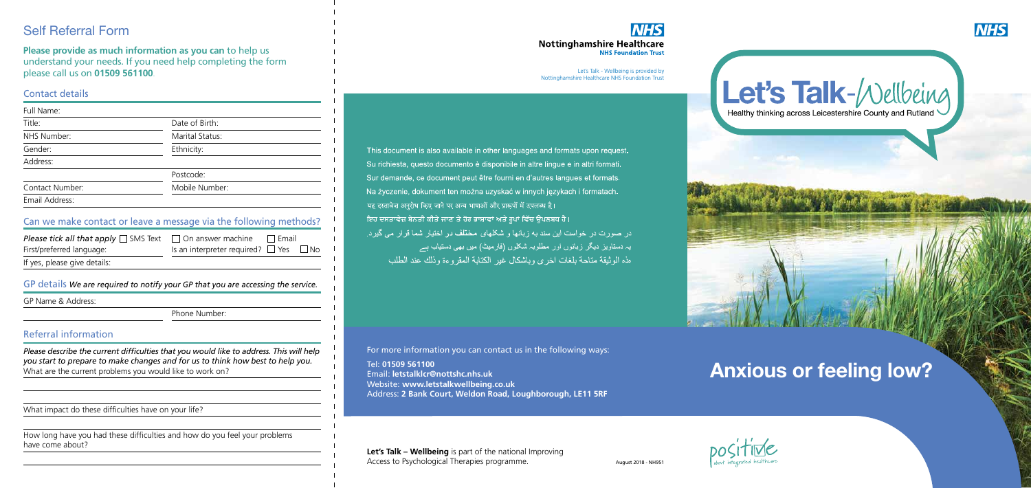Let's Talk - Wellbeing is provided by Nottinghamshire Healthcare NHS Foundation Trust

This document is also available in other languages and formats upon request. Su richiesta, questo documento è disponibile in altre lingue e in altri formati. Sur demande, ce document peut être fourni en d'autres langues et formats. Na życzenie, dokument ten można uzyskać w innych językach i formatach. यह दस्तावेज़ अनुरोध किए जाने पर अन्य भाषाओं और प्रारूपों में उपलब्ध है। ਇਹ ਦਸਤਾਵੇਜ਼ ਬੇਨਤੀ ਕੀਤੇ ਜਾਣ ਤੇ ਹੋਰ ਭਾਸ਼ਾਵਾਂ ਅਤੇ ਰੂਪਾਂ ਵਿੱਚ ਉਪਲਬਧ ਹੈ। در صورت در خواست این سند به زبانها و شکلهای مختلف در اختیار شما قرار می گیرد. یہ دستاویز دیگر زبانوں اور مطلوبہ شکلوں (فارمیٹ) میں بھی دستیاب ہے هذه الوثيقة متاحة بلغات اخرى وباشكال غير الكتابة المقر وءة وذلك عند الطلب

# **Anxious or feeling low?**

August 2018 - NH951

**Let's Talk – Wellbeing** is part of the national Improving Access to Psychological Therapies programme.







#### Contact details

| Full Name:      |                 |  |
|-----------------|-----------------|--|
| Title:          | Date of Birth:  |  |
| NHS Number:     | Marital Status: |  |
| Gender:         | Ethnicity:      |  |
| Address:        |                 |  |
|                 | Postcode:       |  |
| Contact Number: | Mobile Number:  |  |
| Email Address:  |                 |  |

#### Referral information

*Please describe the current difficulties that you would like to address. This will help you start to prepare to make changes and for us to think how best to help you.* What are the current problems you would like to work on?

| <b>Please tick all that apply</b> $\Box$ SMS Text $\Box$ On answer machine |                                                  | la Email |  |
|----------------------------------------------------------------------------|--------------------------------------------------|----------|--|
| First/preferred language:                                                  | Is an interpreter required? $\Box$ Yes $\Box$ No |          |  |
| If yes, please give details:                                               |                                                  |          |  |

What impact do these difficulties have on your life?

How long have you had these difficulties and how do you feel your problems have come about?

#### **NHS Nottinghamshire Healthcare NHS Foundation Trust**

|  |  |  |  |  |  | GP details We are required to notify your GP that you are accessing the service. |  |
|--|--|--|--|--|--|----------------------------------------------------------------------------------|--|
|--|--|--|--|--|--|----------------------------------------------------------------------------------|--|

GP Name & Address:

Phone Number:

#### Can we make contact or leave a message via the following methods?

# Self Referral Form

**Please provide as much information as you can** to help us understand your needs. If you need help completing the form please call us on **01509 561100**.

For more information you can contact us in the following ways:

Tel: **01509 561100**  Email: **letstalklcr@nottshc.nhs.uk**  Website: **www.letstalkwellbeing.co.uk** Address: **2 Bank Court, Weldon Road, Loughborough, LE11 5RF**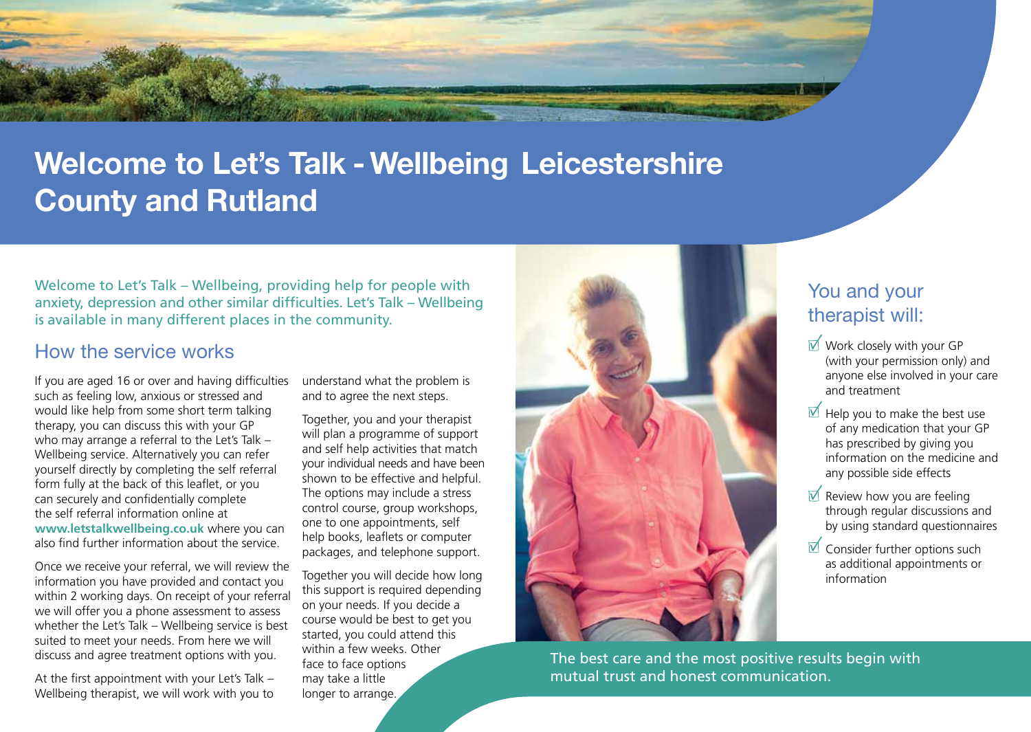# **Welcome to Let's Talk - Wellbeing Leicestershire County and Rutland**

Welcome to Let's Talk – Wellbeing, providing help for people with anxiety, depression and other similar difficulties. Let's Talk – Wellbeing is available in many different places in the community.

### How the service works

If you are aged 16 or over and having difficulties such as feeling low, anxious or stressed and would like help from some short term talking therapy, you can discuss this with your GP who may arrange a referral to the Let's Talk – Wellbeing service. Alternatively you can refer yourself directly by completing the self referral form fully at the back of this leaflet, or you can securely and confidentially complete the self referral information online at **www.letstalkwellbeing.co.uk** where you can also find further information about the service.

Once we receive your referral, we will review the information you have provided and contact you within 2 working days. On receipt of your referral we will offer you a phone assessment to assess whether the Let's Talk – Wellbeing service is best suited to meet your needs. From here we will discuss and agree treatment options with you.

At the first appointment with your Let's Talk – Wellbeing therapist, we will work with you to

understand what the problem is and to agree the next steps.

Together, you and your therapist will plan a programme of support and self help activities that match your individual needs and have been shown to be effective and helpful. The options may include a stress control course, group workshops, one to one appointments, self help books, leaflets or computer packages, and telephone support.

Together you will decide how long this support is required depending on your needs. If you decide a course would be best to get you started, you could attend this within a few weeks. Other face to face options may take a little longer to arrange.



### You and your therapist will:

- $\triangledown$  Work closely with your GP (with your permission only) and anyone else involved in your care and treatment
- $\forall$  Help you to make the best use of any medication that your GP has prescribed by giving you information on the medicine and any possible side effects
- $\overline{V}$  Review how you are feeling through regular discussions and by using standard questionnaires
- $\forall$  Consider further options such as additional appointments or information

The best care and the most positive results begin with mutual trust and honest communication.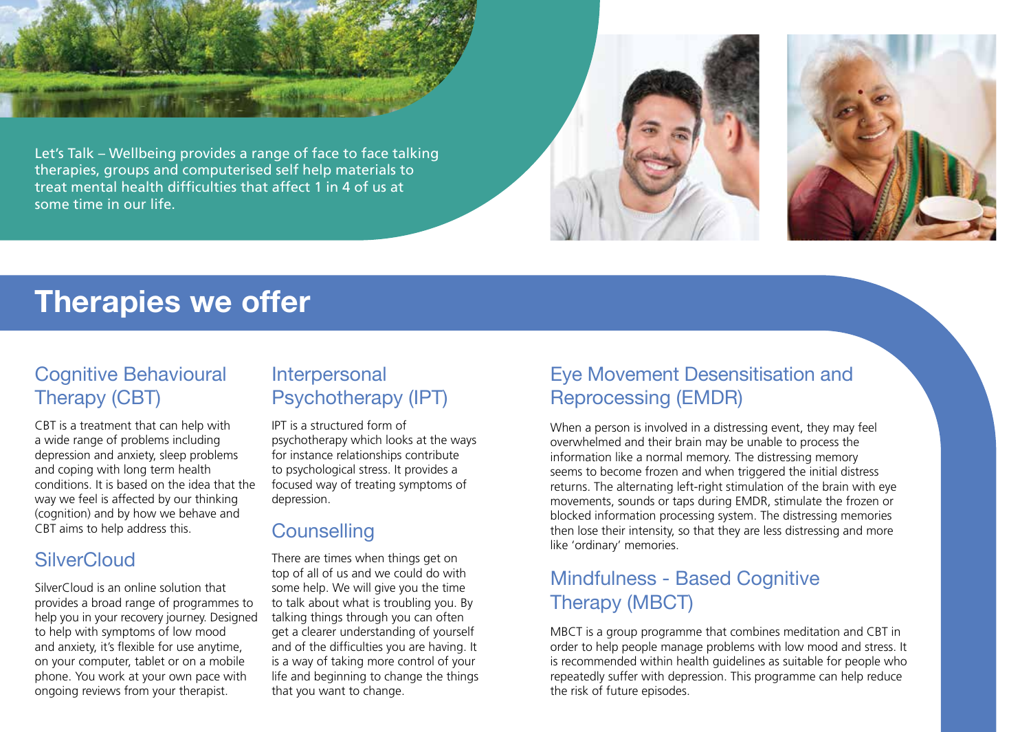

Let's Talk – Wellbeing provides a range of face to face talking therapies, groups and computerised self help materials to treat mental health difficulties that affect 1 in 4 of us at some time in our life.





# **Therapies we offer**

# Cognitive Behavioural Therapy (CBT)

CBT is a treatment that can help with a wide range of problems including depression and anxiety, sleep problems and coping with long term health conditions. It is based on the idea that the way we feel is affected by our thinking (cognition) and by how we behave and CBT aims to help address this.

## **SilverCloud**

SilverCloud is an online solution that provides a broad range of programmes to help you in your recovery journey. Designed to help with symptoms of low mood and anxiety, it's flexible for use anytime, on your computer, tablet or on a mobile phone. You work at your own pace with ongoing reviews from your therapist.

## Interpersonal Psychotherapy (IPT)

IPT is a structured form of psychotherapy which looks at the ways for instance relationships contribute to psychological stress. It provides a focused way of treating symptoms of depression.

# **Counselling**

There are times when things get on top of all of us and we could do with some help. We will give you the time to talk about what is troubling you. By talking things through you can often get a clearer understanding of yourself and of the difficulties you are having. It is a way of taking more control of your life and beginning to change the things that you want to change.

# Eye Movement Desensitisation and Reprocessing (EMDR)

When a person is involved in a distressing event, they may feel overwhelmed and their brain may be unable to process the information like a normal memory. The distressing memory seems to become frozen and when triggered the initial distress returns. The alternating left-right stimulation of the brain with eye movements, sounds or taps during EMDR, stimulate the frozen or blocked information processing system. The distressing memories then lose their intensity, so that they are less distressing and more like 'ordinary' memories.

# Mindfulness - Based Cognitive Therapy (MBCT)

MBCT is a group programme that combines meditation and CBT in order to help people manage problems with low mood and stress. It is recommended within health guidelines as suitable for people who repeatedly suffer with depression. This programme can help reduce the risk of future episodes.